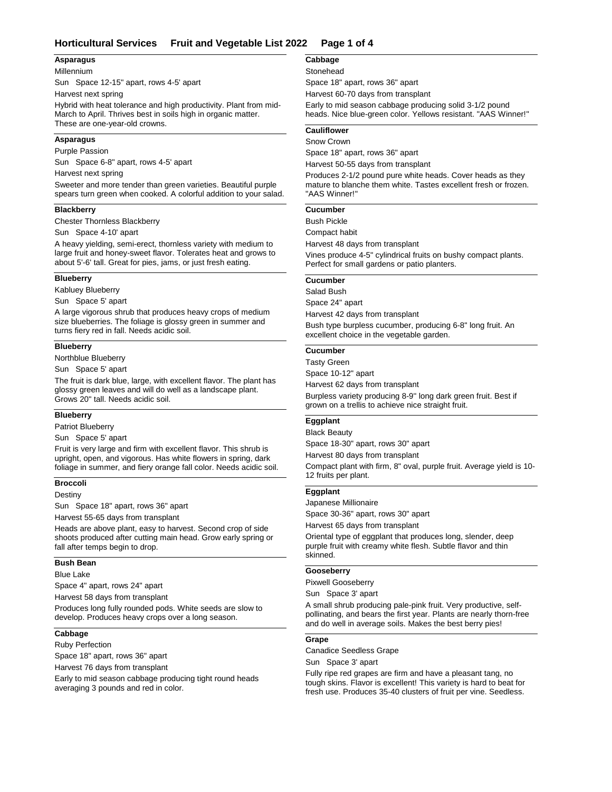# **Horticultural Services Fruit and Vegetable List 2022 Page 1 of 4**

## **Asparagus**

Millennium

Sun Space 12-15" apart, rows 4-5' apart

Harvest next spring

Hybrid with heat tolerance and high productivity. Plant from mid-March to April. Thrives best in soils high in organic matter. These are one-year-old crowns.

## **Asparagus**

Purple Passion

Sun Space 6-8" apart, rows 4-5' apart

Harvest next spring

Sweeter and more tender than green varieties. Beautiful purple spears turn green when cooked. A colorful addition to your salad.

# **Blackberry**

Chester Thornless Blackberry

Sun Space 4-10' apart

A heavy yielding, semi-erect, thornless variety with medium to large fruit and honey-sweet flavor. Tolerates heat and grows to about 5'-6' tall. Great for pies, jams, or just fresh eating.

## **Blueberry**

Kabluey Blueberry

Sun Space 5' apart

A large vigorous shrub that produces heavy crops of medium size blueberries. The foliage is glossy green in summer and turns fiery red in fall. Needs acidic soil.

### **Blueberry**

Northblue Blueberry

Sun Space 5' apart

The fruit is dark blue, large, with excellent flavor. The plant has glossy green leaves and will do well as a landscape plant. Grows 20" tall. Needs acidic soil.

#### **Blueberry**

Patriot Blueberry

Sun Space 5' apart

Fruit is very large and firm with excellent flavor. This shrub is upright, open, and vigorous. Has white flowers in spring, dark foliage in summer, and fiery orange fall color. Needs acidic soil.

#### **Broccoli**

Destiny

Sun Space 18" apart, rows 36" apart

Harvest 55-65 days from transplant

Heads are above plant, easy to harvest. Second crop of side shoots produced after cutting main head. Grow early spring or fall after temps begin to drop.

#### **Bush Bean**

### Blue Lake

Space 4" apart, rows 24" apart

Harvest 58 days from transplant

Produces long fully rounded pods. White seeds are slow to develop. Produces heavy crops over a long season.

### **Cabbage**

Ruby Perfection

Space 18" apart, rows 36" apart

Harvest 76 days from transplant

Early to mid season cabbage producing tight round heads averaging 3 pounds and red in color.

# **Cabbage**

## **Stonehead**

Space 18" apart, rows 36" apart

Harvest 60-70 days from transplant

Early to mid season cabbage producing solid 3-1/2 pound heads. Nice blue-green color. Yellows resistant. "AAS Winner!"

## **Cauliflower**

#### Snow Crown

Space 18" apart, rows 36" apart

Harvest 50-55 days from transplant

Produces 2-1/2 pound pure white heads. Cover heads as they mature to blanche them white. Tastes excellent fresh or frozen. "AAS Winner!"

## **Cucumber**

Bush Pickle

Compact habit

Harvest 48 days from transplant

Vines produce 4-5" cylindrical fruits on bushy compact plants. Perfect for small gardens or patio planters.

## **Cucumber**

Salad Bush

Space 24" apart Harvest 42 days from transplant

Bush type burpless cucumber, producing 6-8" long fruit. An excellent choice in the vegetable garden.

## **Cucumber**

Space 10-12" apart Burpless variety producing 8-9'' long dark green fruit. Best if grown on a trellis to achieve nice straight fruit. Tasty Green Harvest 62 days from transplant

# **Eggplant**

## Black Beauty

Space 18-30" apart, rows 30" apart

Harvest 80 days from transplant

Compact plant with firm, 8" oval, purple fruit. Average yield is 10- 12 fruits per plant.

## **Eggplant**

Japanese Millionaire

Space 30-36" apart, rows 30" apart

Harvest 65 days from transplant

Oriental type of eggplant that produces long, slender, deep purple fruit with creamy white flesh. Subtle flavor and thin skinned.

## **Gooseberry**

Pixwell Gooseberry

Sun Space 3' apart

A small shrub producing pale-pink fruit. Very productive, selfpollinating, and bears the first year. Plants are nearly thorn-free and do well in average soils. Makes the best berry pies!

# **Grape**

Canadice Seedless Grape

Sun Space 3' apart

Fully ripe red grapes are firm and have a pleasant tang, no tough skins. Flavor is excellent! This variety is hard to beat for fresh use. Produces 35-40 clusters of fruit per vine. Seedless.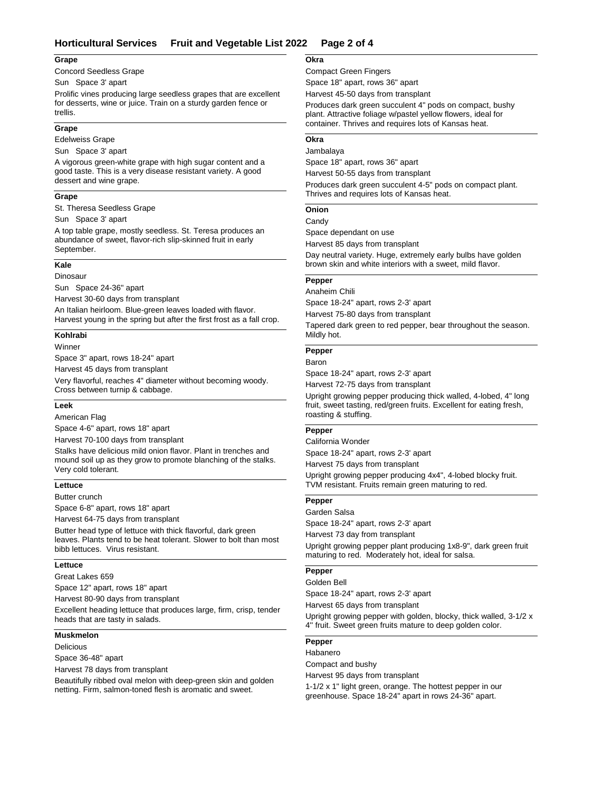# **Horticultural Services Fruit and Vegetable List 2022 Page 2 of 4**

### **Grape**

Concord Seedless Grape

Sun Space 3' apart

Prolific vines producing large seedless grapes that are excellent for desserts, wine or juice. Train on a sturdy garden fence or trellis.

#### **Grape**

Edelweiss Grape

Sun Space 3' apart

A vigorous green-white grape with high sugar content and a good taste. This is a very disease resistant variety. A good dessert and wine grape.

### **Grape**

St. Theresa Seedless Grape

Sun Space 3' apart

A top table grape, mostly seedless. St. Teresa produces an abundance of sweet, flavor-rich slip-skinned fruit in early September.

# **Kale**

Dinosaur

Sun Space 24-36" apart

Harvest 30-60 days from transplant

An Italian heirloom. Blue-green leaves loaded with flavor. Harvest young in the spring but after the first frost as a fall crop.

# **Kohlrabi**

Winner

Space 3" apart, rows 18-24" apart

Harvest 45 days from transplant

Very flavorful, reaches 4" diameter without becoming woody. Cross between turnip & cabbage.

#### **Leek**

American Flag

Space 4-6" apart, rows 18" apart

Harvest 70-100 days from transplant

Stalks have delicious mild onion flavor. Plant in trenches and mound soil up as they grow to promote blanching of the stalks. Very cold tolerant.

### **Lettuce**

Butter crunch

Space 6-8" apart, rows 18" apart

Harvest 64-75 days from transplant

Butter head type of lettuce with thick flavorful, dark green leaves. Plants tend to be heat tolerant. Slower to bolt than most bibb lettuces. Virus resistant.

### **Lettuce**

Great Lakes 659

Space 12" apart, rows 18" apart

Harvest 80-90 days from transplant

Excellent heading lettuce that produces large, firm, crisp, tender heads that are tasty in salads.

# **Muskmelon**

Delicious

Space 36-48" apart

Harvest 78 days from transplant

Beautifully ribbed oval melon with deep-green skin and golden netting. Firm, salmon-toned flesh is aromatic and sweet.

#### **Okra**

## Compact Green Fingers

Space 18" apart, rows 36" apart

Harvest 45-50 days from transplant

Produces dark green succulent 4" pods on compact, bushy plant. Attractive foliage w/pastel yellow flowers, ideal for container. Thrives and requires lots of Kansas heat.

# **Okra**

Space 18" apart, rows 36" apart Produces dark green succulent 4-5" pods on compact plant. Jambalaya Harvest 50-55 days from transplant

Thrives and requires lots of Kansas heat.

# **Onion**

**Candy** 

Space dependant on use

Harvest 85 days from transplant

Day neutral variety. Huge, extremely early bulbs have golden brown skin and white interiors with a sweet, mild flavor.

# **Pepper**

Space 18-24" apart, rows 2-3' apart Anaheim Chili

Harvest 75-80 days from transplant

Tapered dark green to red pepper, bear throughout the season. Mildly hot.

#### **Pepper**

Baron

Space 18-24" apart, rows 2-3' apart

Harvest 72-75 days from transplant

Upright growing pepper producing thick walled, 4-lobed, 4" long fruit, sweet tasting, red/green fruits. Excellent for eating fresh, roasting & stuffing.

#### **Pepper**

Space 18-24" apart, rows 2-3' apart California Wonder

Harvest 75 days from transplant

Upright growing pepper producing 4x4", 4-lobed blocky fruit. TVM resistant. Fruits remain green maturing to red.

### **Pepper**

Space 18-24" apart, rows 2-3' apart Upright growing pepper plant producing 1x8-9", dark green fruit maturing to red. Moderately hot, ideal for salsa. Garden Salsa Harvest 73 day from transplant

## **Pepper**

Space 18-24" apart, rows 2-3' apart Golden Bell

Harvest 65 days from transplant

Upright growing pepper with golden, blocky, thick walled, 3-1/2 x 4'' fruit. Sweet green fruits mature to deep golden color.

# **Pepper**

Habanero

Compact and bushy

Harvest 95 days from transplant

1-1/2 x 1" light green, orange. The hottest pepper in our greenhouse. Space 18-24" apart in rows 24-36" apart.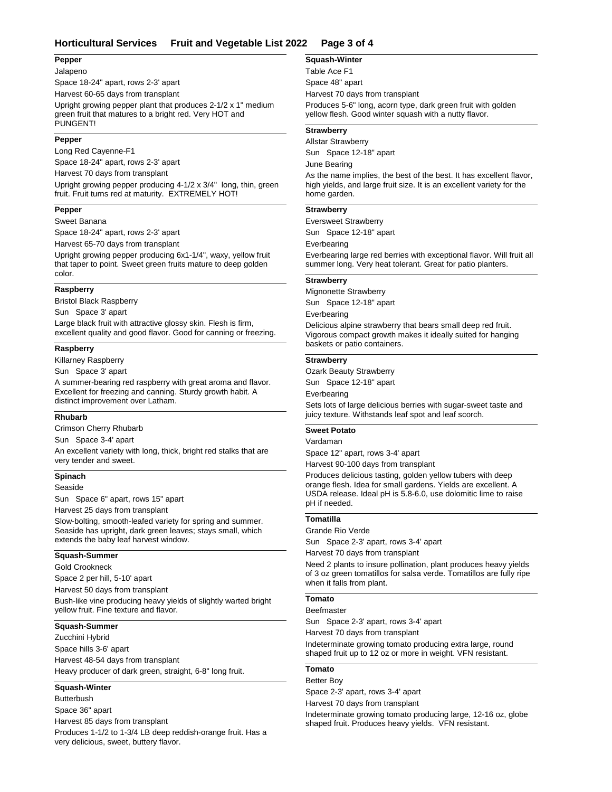# **Horticultural Services Fruit and Vegetable List 2022 Page 3 of 4**

#### **Pepper**

Jalapeno

Space 18-24" apart, rows 2-3' apart Harvest 60-65 days from transplant

Upright growing pepper plant that produces 2-1/2 x 1" medium green fruit that matures to a bright red. Very HOT and PUNGENT!

#### **Pepper**

Long Red Cayenne-F1

Space 18-24" apart, rows 2-3' apart

Harvest 70 days from transplant

Upright growing pepper producing 4-1/2 x 3/4" long, thin, green fruit. Fruit turns red at maturity. EXTREMELY HOT!

### **Pepper**

Sweet Banana

Space 18-24" apart, rows 2-3' apart

Harvest 65-70 days from transplant

Upright growing pepper producing 6x1-1/4", waxy, yellow fruit that taper to point. Sweet green fruits mature to deep golden color.

#### **Raspberry**

Bristol Black Raspberry

Sun Space 3' apart

Large black fruit with attractive glossy skin. Flesh is firm, excellent quality and good flavor. Good for canning or freezing.

### **Raspberry**

Killarney Raspberry

Sun Space 3' apart

A summer-bearing red raspberry with great aroma and flavor. Excellent for freezing and canning. Sturdy growth habit. A distinct improvement over Latham.

#### **Rhubarb**

Crimson Cherry Rhubarb

Sun Space 3-4' apart

An excellent variety with long, thick, bright red stalks that are very tender and sweet.

#### **Spinach**

Seaside

Sun Space 6" apart, rows 15" apart

Harvest 25 days from transplant

Slow-bolting, smooth-leafed variety for spring and summer. Seaside has upright, dark green leaves; stays small, which extends the baby leaf harvest window.

#### **Squash-Summer**

Gold Crookneck

Space 2 per hill, 5-10' apart

Harvest 50 days from transplant

Bush-like vine producing heavy yields of slightly warted bright yellow fruit. Fine texture and flavor.

## **Squash-Summer**

Space hills 3-6' apart Heavy producer of dark green, straight, 6-8" long fruit. Zucchini Hybrid Harvest 48-54 days from transplant

## **Squash-Winter**

Space 36" apart Produces 1-1/2 to 1-3/4 LB deep reddish-orange fruit. Has a very delicious, sweet, buttery flavor. **Butterbush** Harvest 85 days from transplant

### **Squash-Winter**

Space 48" apart Produces 5-6" long, acorn type, dark green fruit with golden yellow flesh. Good winter squash with a nutty flavor. Table Ace F1 Harvest 70 days from transplant

#### **Strawberry**

Sun Space 12-18" apart As the name implies, the best of the best. It has excellent flavor, high yields, and large fruit size. It is an excellent variety for the home garden. Allstar Strawberry June Bearing

### **Strawberry**

Sun Space 12-18" apart Everbearing large red berries with exceptional flavor. Will fruit all summer long. Very heat tolerant. Great for patio planters. Eversweet Strawberry Everbearing

### **Strawberry**

Sun Space 12-18" apart Delicious alpine strawberry that bears small deep red fruit. Vigorous compact growth makes it ideally suited for hanging Mignonette Strawberry Everbearing

### **Strawberry**

baskets or patio containers.

Sun Space 12-18" apart Sets lots of large delicious berries with sugar-sweet taste and juicy texture. Withstands leaf spot and leaf scorch. Ozark Beauty Strawberry Everbearing

## **Sweet Potato**

# Vardaman

Space 12" apart, rows 3-4' apart

Harvest 90-100 days from transplant

Produces delicious tasting, golden yellow tubers with deep orange flesh. Idea for small gardens. Yields are excellent. A USDA release. Ideal pH is 5.8-6.0, use dolomitic lime to raise pH if needed.

### **Tomatilla**

#### Grande Rio Verde

Sun Space 2-3' apart, rows 3-4' apart

Need 2 plants to insure pollination, plant produces heavy yields Harvest 70 days from transplant

of 3 oz green tomatillos for salsa verde. Tomatillos are fully ripe when it falls from plant.

# **Tomato**

#### Beefmaster

Sun Space 2-3' apart, rows 3-4' apart

Harvest 70 days from transplant

Indeterminate growing tomato producing extra large, round shaped fruit up to 12 oz or more in weight. VFN resistant.

# **Tomato**

Space 2-3' apart, rows 3-4' apart Better Boy

Harvest 70 days from transplant

Indeterminate growing tomato producing large, 12-16 oz, globe shaped fruit. Produces heavy yields. VFN resistant.